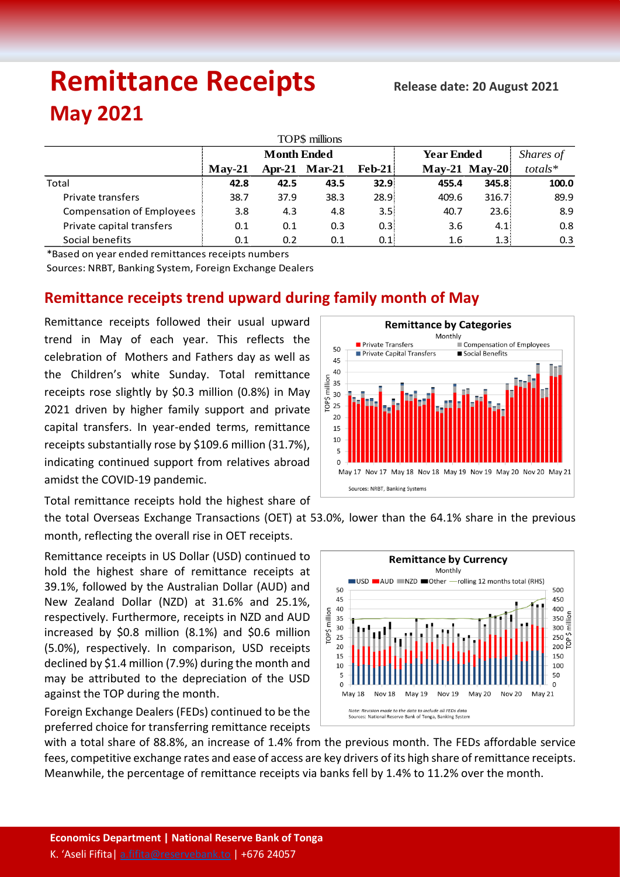# **Remittance Receipts** *Release date: 20 August 2021* **May 2021**

| TOP\$ millions                   |                    |      |               |          |                   |                 |           |  |  |  |  |  |
|----------------------------------|--------------------|------|---------------|----------|-------------------|-----------------|-----------|--|--|--|--|--|
|                                  | <b>Month Ended</b> |      |               |          | <b>Year Ended</b> |                 | Shares of |  |  |  |  |  |
|                                  | $Mav-21$           |      | Apr-21 Mar-21 | $Feb-21$ |                   | $May-21$ May-20 | $totals*$ |  |  |  |  |  |
| Total                            | 42.8               | 42.5 | 43.5          | 32.9     | 455.4             | 345.8           | 100.0     |  |  |  |  |  |
| Private transfers                | 38.7               | 37.9 | 38.3          | 28.9     | 409.6             | 316.7           | 89.9      |  |  |  |  |  |
| <b>Compensation of Employees</b> | 3.8                | 4.3  | 4.8           | 3.5      | 40.7              | 23.6!           | 8.9       |  |  |  |  |  |
| Private capital transfers        | 0.1                | 0.1  | 0.3           | 0.3      | 3.6               | 4.1             | 0.8       |  |  |  |  |  |
| Social benefits                  | 0.1                | 0.2  | 0.1           | 0.1      | 1.6               | 1.3!            | 0.3       |  |  |  |  |  |

\*Based on year ended remittances receipts numbers

Sources: NRBT, Banking System, Foreign Exchange Dealers

## **Remittance receipts trend upward during family month of May**

Remittance receipts followed their usual upward trend in May of each year. This reflects the celebration of Mothers and Fathers day as well as the Children's white Sunday. Total remittance receipts rose slightly by \$0.3 million (0.8%) in May 2021 driven by higher family support and private capital transfers. In year-ended terms, remittance receipts substantially rose by \$109.6 million (31.7%), indicating continued support from relatives abroad amidst the COVID-19 pandemic.

Total remittance receipts hold the highest share of

the total Overseas Exchange Transactions (OET) at 53.0%, lower than the 64.1% share in the previous month, reflecting the overall rise in OET receipts.

Remittance receipts in US Dollar (USD) continued to hold the highest share of remittance receipts at 39.1%, followed by the Australian Dollar (AUD) and New Zealand Dollar (NZD) at 31.6% and 25.1%, respectively. Furthermore, receipts in NZD and AUD increased by \$0.8 million (8.1%) and \$0.6 million (5.0%), respectively. In comparison, USD receipts declined by \$1.4 million (7.9%) during the month and may be attributed to the depreciation of the USD against the TOP during the month.

Foreign Exchange Dealers (FEDs) continued to be the preferred choice for transferring remittance receipts



with a total share of 88.8%, an increase of 1.4% from the previous month. The FEDs affordable service fees, competitive exchange rates and ease of access are key drivers of its high share of remittance receipts. Meanwhile, the percentage of remittance receipts via banks fell by 1.4% to 11.2% over the month.



**Remittance by Categories** Monthly

.<br>Compensation of Employees

Social Benefits

Private Transfers

Private Capital Transfers

50

45 40

35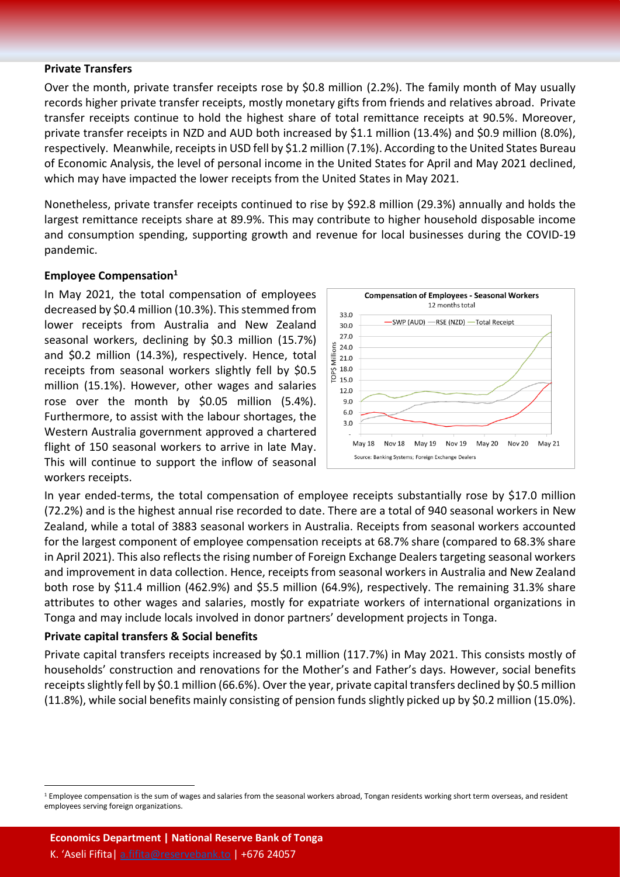#### **Private Transfers**

Over the month, private transfer receipts rose by \$0.8 million (2.2%). The family month of May usually records higher private transfer receipts, mostly monetary gifts from friends and relatives abroad. Private transfer receipts continue to hold the highest share of total remittance receipts at 90.5%. Moreover, private transfer receipts in NZD and AUD both increased by \$1.1 million (13.4%) and \$0.9 million (8.0%), respectively. Meanwhile, receipts in USD fell by \$1.2 million (7.1%). According to the United States Bureau of Economic Analysis, the level of personal income in the United States for April and May 2021 declined, which may have impacted the lower receipts from the United States in May 2021.

Nonetheless, private transfer receipts continued to rise by \$92.8 million (29.3%) annually and holds the largest remittance receipts share at 89.9%. This may contribute to higher household disposable income and consumption spending, supporting growth and revenue for local businesses during the COVID-19 pandemic.

#### **Employee Compensation<sup>1</sup>**

In May 2021, the total compensation of employees decreased by \$0.4 million (10.3%). This stemmed from lower receipts from Australia and New Zealand seasonal workers, declining by \$0.3 million (15.7%) and \$0.2 million (14.3%), respectively. Hence, total receipts from seasonal workers slightly fell by \$0.5 million (15.1%). However, other wages and salaries rose over the month by \$0.05 million (5.4%). Furthermore, to assist with the labour shortages, the Western Australia government approved a chartered flight of 150 seasonal workers to arrive in late May. This will continue to support the inflow of seasonal workers receipts.



In year ended-terms, the total compensation of employee receipts substantially rose by \$17.0 million (72.2%) and is the highest annual rise recorded to date. There are a total of 940 seasonal workers in New Zealand, while a total of 3883 seasonal workers in Australia. Receipts from seasonal workers accounted for the largest component of employee compensation receipts at 68.7% share (compared to 68.3% share in April 2021). This also reflects the rising number of Foreign Exchange Dealers targeting seasonal workers and improvement in data collection. Hence, receipts from seasonal workers in Australia and New Zealand both rose by \$11.4 million (462.9%) and \$5.5 million (64.9%), respectively. The remaining 31.3% share attributes to other wages and salaries, mostly for expatriate workers of international organizations in Tonga and may include locals involved in donor partners' development projects in Tonga.

#### **Private capital transfers & Social benefits**

 $\overline{a}$ 

Private capital transfers receipts increased by \$0.1 million (117.7%) in May 2021. This consists mostly of households' construction and renovations for the Mother's and Father's days. However, social benefits receiptsslightly fell by \$0.1 million (66.6%). Over the year, private capital transfers declined by \$0.5 million (11.8%), while social benefits mainly consisting of pension funds slightly picked up by \$0.2 million (15.0%).

<sup>&</sup>lt;sup>1</sup> Employee compensation is the sum of wages and salaries from the seasonal workers abroad, Tongan residents working short term overseas, and resident employees serving foreign organizations.